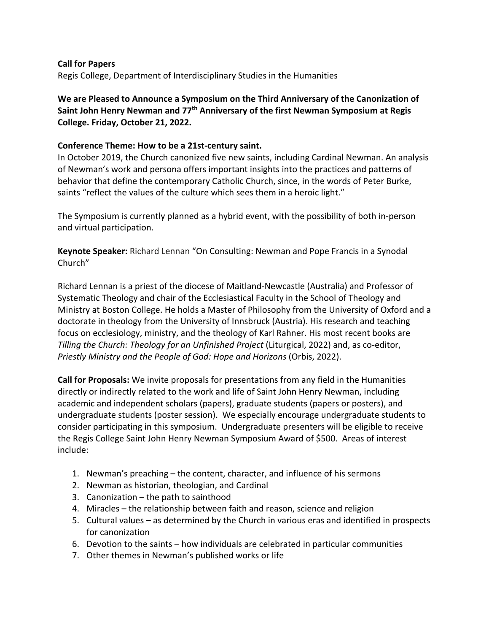## **Call for Papers**

Regis College, Department of Interdisciplinary Studies in the Humanities

**We are Pleased to Announce a Symposium on the Third Anniversary of the Canonization of Saint John Henry Newman and 77th Anniversary of the first Newman Symposium at Regis College. Friday, October 21, 2022.**

## **Conference Theme: How to be a 21st-century saint.**

In October 2019, the Church canonized five new saints, including Cardinal Newman. An analysis of Newman's work and persona offers important insights into the practices and patterns of behavior that define the contemporary Catholic Church, since, in the words of Peter Burke, saints "reflect the values of the culture which sees them in a heroic light."

The Symposium is currently planned as a hybrid event, with the possibility of both in-person and virtual participation.

**Keynote Speaker:** Richard Lennan "On Consulting: Newman and Pope Francis in a Synodal Church"

Richard Lennan is a priest of the diocese of Maitland-Newcastle (Australia) and Professor of Systematic Theology and chair of the Ecclesiastical Faculty in the School of Theology and Ministry at Boston College. He holds a Master of Philosophy from the University of Oxford and a doctorate in theology from the University of Innsbruck (Austria). His research and teaching focus on ecclesiology, ministry, and the theology of Karl Rahner. His most recent books are *Tilling the Church: Theology for an Unfinished Project* (Liturgical, 2022) and, as co-editor, *Priestly Ministry and the People of God: Hope and Horizons* (Orbis, 2022).

**Call for Proposals:** We invite proposals for presentations from any field in the Humanities directly or indirectly related to the work and life of Saint John Henry Newman, including academic and independent scholars (papers), graduate students (papers or posters), and undergraduate students (poster session). We especially encourage undergraduate students to consider participating in this symposium. Undergraduate presenters will be eligible to receive the Regis College Saint John Henry Newman Symposium Award of \$500. Areas of interest include:

- 1. Newman's preaching the content, character, and influence of his sermons
- 2. Newman as historian, theologian, and Cardinal
- 3. Canonization the path to sainthood
- 4. Miracles the relationship between faith and reason, science and religion
- 5. Cultural values as determined by the Church in various eras and identified in prospects for canonization
- 6. Devotion to the saints how individuals are celebrated in particular communities
- 7. Other themes in Newman's published works or life